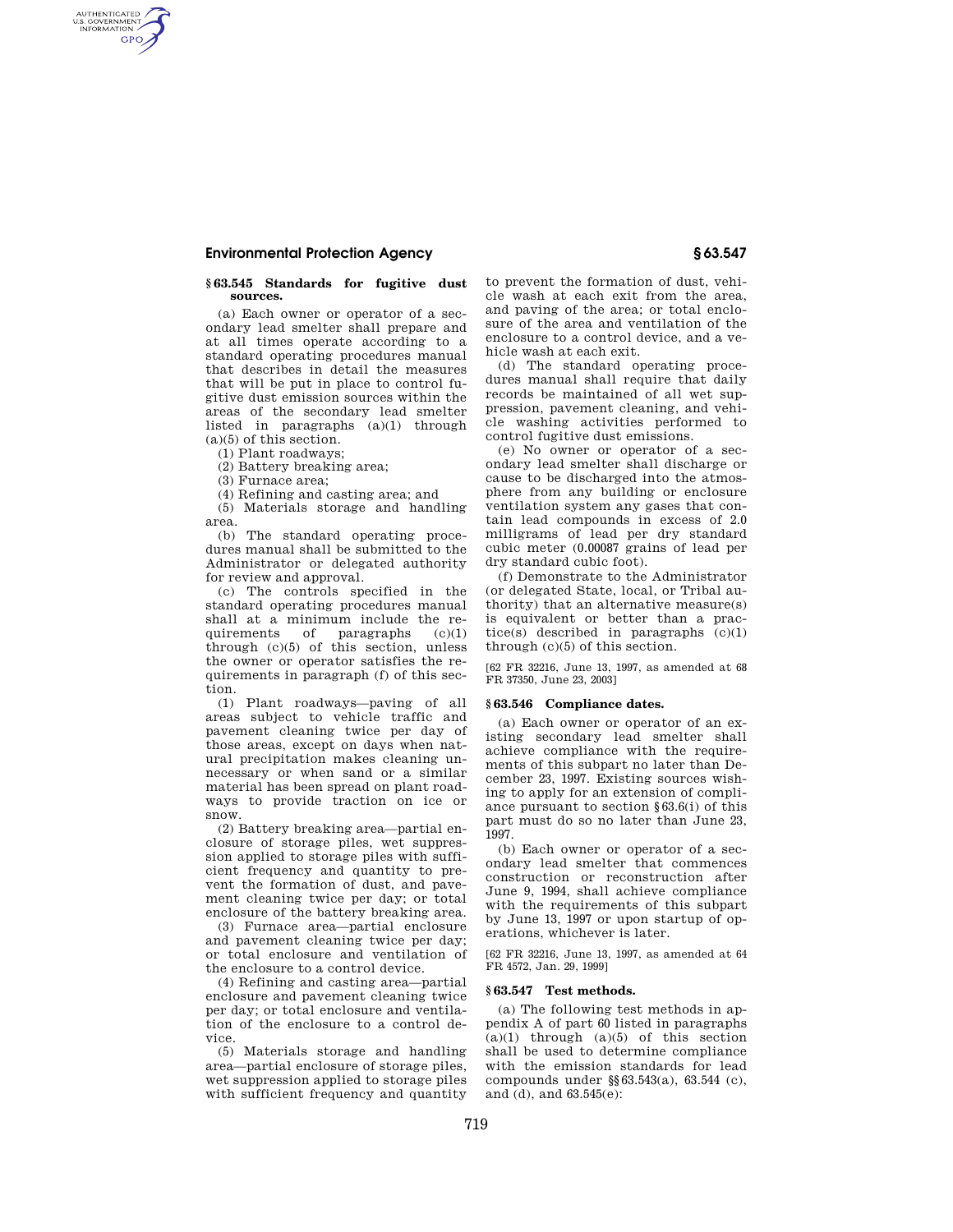#### **Environmental Protection Agency § 63.547**

# **§ 63.545 Standards for fugitive dust sources.**

(a) Each owner or operator of a secondary lead smelter shall prepare and at all times operate according to a standard operating procedures manual that describes in detail the measures that will be put in place to control fugitive dust emission sources within the areas of the secondary lead smelter listed in paragraphs (a)(1) through  $(a)(5)$  of this section.

(1) Plant roadways;

(2) Battery breaking area;

(3) Furnace area;

AUTHENTICATED<br>U.S. GOVERNMENT<br>INFORMATION **GPO** 

(4) Refining and casting area; and

(5) Materials storage and handling area.

(b) The standard operating procedures manual shall be submitted to the Administrator or delegated authority for review and approval.

(c) The controls specified in the standard operating procedures manual shall at a minimum include the requirements of paragraphs (c)(1) through (c)(5) of this section, unless the owner or operator satisfies the requirements in paragraph (f) of this section.

(1) Plant roadways—paving of all areas subject to vehicle traffic and pavement cleaning twice per day of those areas, except on days when natural precipitation makes cleaning unnecessary or when sand or a similar material has been spread on plant roadways to provide traction on ice or snow.

(2) Battery breaking area—partial enclosure of storage piles, wet suppression applied to storage piles with sufficient frequency and quantity to prevent the formation of dust, and pavement cleaning twice per day; or total enclosure of the battery breaking area.

(3) Furnace area—partial enclosure and pavement cleaning twice per day; or total enclosure and ventilation of the enclosure to a control device.

(4) Refining and casting area—partial enclosure and pavement cleaning twice per day; or total enclosure and ventilation of the enclosure to a control device.

(5) Materials storage and handling area—partial enclosure of storage piles, wet suppression applied to storage piles with sufficient frequency and quantity to prevent the formation of dust, vehicle wash at each exit from the area, and paving of the area; or total enclosure of the area and ventilation of the enclosure to a control device, and a vehicle wash at each exit.

(d) The standard operating procedures manual shall require that daily records be maintained of all wet suppression, pavement cleaning, and vehicle washing activities performed to control fugitive dust emissions.

(e) No owner or operator of a secondary lead smelter shall discharge or cause to be discharged into the atmosphere from any building or enclosure ventilation system any gases that contain lead compounds in excess of 2.0 milligrams of lead per dry standard cubic meter (0.00087 grains of lead per dry standard cubic foot).

(f) Demonstrate to the Administrator (or delegated State, local, or Tribal authority) that an alternative measure(s) is equivalent or better than a practice(s) described in paragraphs  $(c)(1)$ through (c)(5) of this section.

[62 FR 32216, June 13, 1997, as amended at 68 FR 37350, June 23, 2003]

#### **§ 63.546 Compliance dates.**

(a) Each owner or operator of an existing secondary lead smelter shall achieve compliance with the requirements of this subpart no later than December 23, 1997. Existing sources wishing to apply for an extension of compliance pursuant to section §63.6(i) of this part must do so no later than June 23, 1997.

(b) Each owner or operator of a secondary lead smelter that commences construction or reconstruction after June 9, 1994, shall achieve compliance with the requirements of this subpart by June 13, 1997 or upon startup of operations, whichever is later.

[62 FR 32216, June 13, 1997, as amended at 64 FR 4572, Jan. 29, 1999]

# **§ 63.547 Test methods.**

(a) The following test methods in appendix A of part 60 listed in paragraphs  $(a)(1)$  through  $(a)(5)$  of this section shall be used to determine compliance with the emission standards for lead compounds under §§63.543(a), 63.544 (c), and (d), and 63.545(e):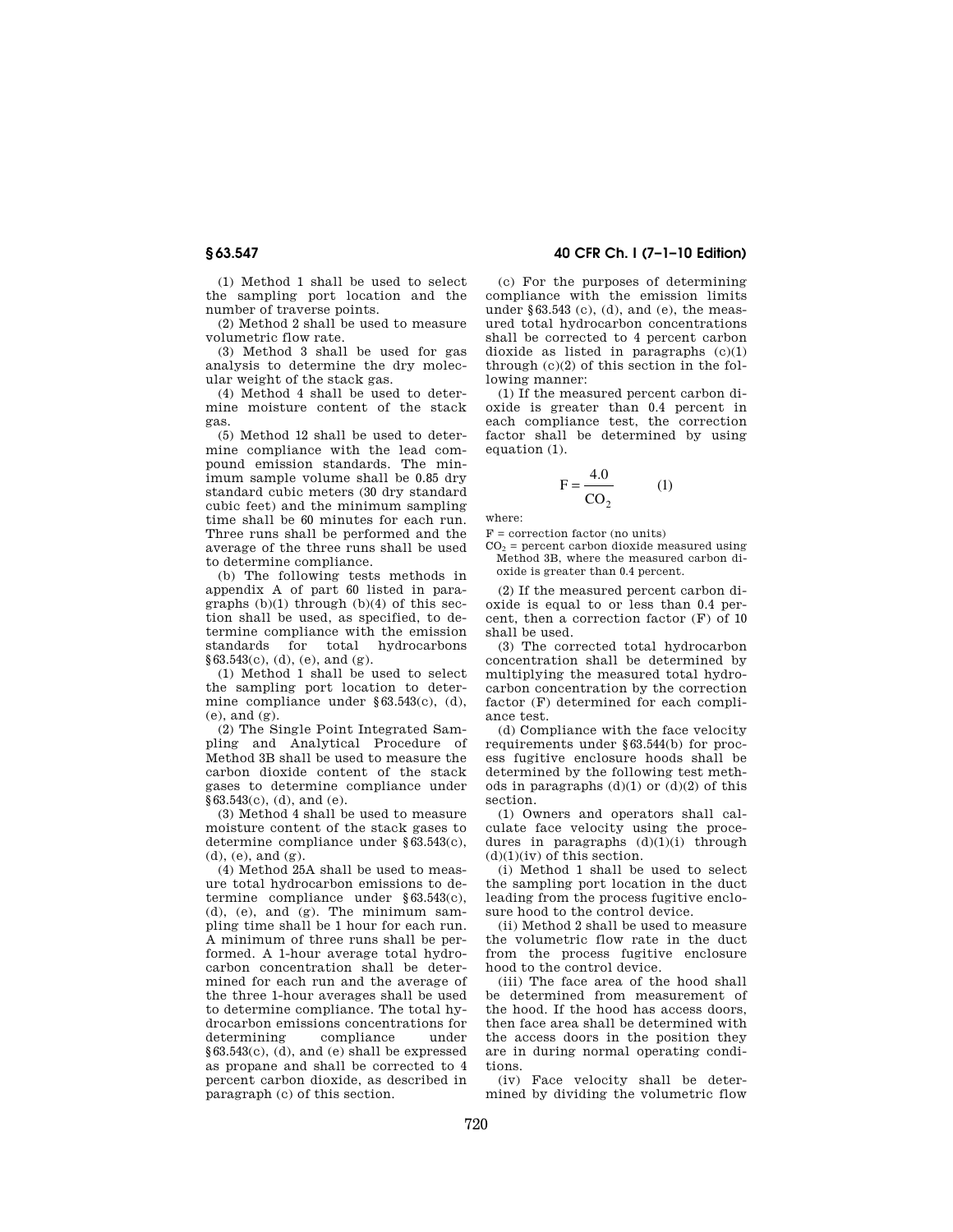(1) Method 1 shall be used to select the sampling port location and the number of traverse points.

(2) Method 2 shall be used to measure volumetric flow rate.

(3) Method 3 shall be used for gas analysis to determine the dry molecular weight of the stack gas.

(4) Method 4 shall be used to determine moisture content of the stack gas.

(5) Method 12 shall be used to determine compliance with the lead compound emission standards. The minimum sample volume shall be 0.85 dry standard cubic meters (30 dry standard cubic feet) and the minimum sampling time shall be 60 minutes for each run. Three runs shall be performed and the average of the three runs shall be used to determine compliance.

(b) The following tests methods in appendix A of part 60 listed in paragraphs  $(b)(1)$  through  $(b)(4)$  of this section shall be used, as specified, to determine compliance with the emission standards for total hydrocarbons  $§63.543(c), (d), (e), and (g).$ 

(1) Method 1 shall be used to select the sampling port location to determine compliance under §63.543(c), (d), (e), and  $(\sigma)$ .

(2) The Single Point Integrated Sampling and Analytical Procedure of Method 3B shall be used to measure the carbon dioxide content of the stack gases to determine compliance under §63.543(c), (d), and (e).

(3) Method 4 shall be used to measure moisture content of the stack gases to determine compliance under §63.543(c), (d), (e), and (g).

(4) Method 25A shall be used to measure total hydrocarbon emissions to determine compliance under §63.543(c),  $(d)$ ,  $(e)$ , and  $(g)$ . The minimum sampling time shall be 1 hour for each run. A minimum of three runs shall be performed. A 1-hour average total hydrocarbon concentration shall be determined for each run and the average of the three 1-hour averages shall be used to determine compliance. The total hydrocarbon emissions concentrations for determining compliance under §63.543(c), (d), and (e) shall be expressed as propane and shall be corrected to 4 percent carbon dioxide, as described in paragraph (c) of this section.

# **§ 63.547 40 CFR Ch. I (7–1–10 Edition)**

(c) For the purposes of determining compliance with the emission limits under §63.543 (c), (d), and (e), the measured total hydrocarbon concentrations shall be corrected to 4 percent carbon dioxide as listed in paragraphs (c)(1) through (c)(2) of this section in the following manner:

(1) If the measured percent carbon dioxide is greater than 0.4 percent in each compliance test, the correction factor shall be determined by using equation (1).

$$
F = \frac{4.0}{CO_2} \tag{1}
$$

where:

 $F =$  correction factor (no units)  $CO<sub>2</sub>$  = percent carbon dioxide measured using

Method 3B, where the measured carbon dioxide is greater than 0.4 percent.

(2) If the measured percent carbon dioxide is equal to or less than 0.4 percent, then a correction factor (F) of 10 shall be used.

(3) The corrected total hydrocarbon concentration shall be determined by multiplying the measured total hydrocarbon concentration by the correction factor (F) determined for each compliance test.

(d) Compliance with the face velocity requirements under §63.544(b) for process fugitive enclosure hoods shall be determined by the following test methods in paragraphs  $(d)(1)$  or  $(d)(2)$  of this section.

(1) Owners and operators shall calculate face velocity using the procedures in paragraphs  $(d)(1)(i)$  through  $(d)(1)(iv)$  of this section.

(i) Method 1 shall be used to select the sampling port location in the duct leading from the process fugitive enclosure hood to the control device.

(ii) Method 2 shall be used to measure the volumetric flow rate in the duct from the process fugitive enclosure hood to the control device.

(iii) The face area of the hood shall be determined from measurement of the hood. If the hood has access doors, then face area shall be determined with the access doors in the position they are in during normal operating conditions.

(iv) Face velocity shall be determined by dividing the volumetric flow